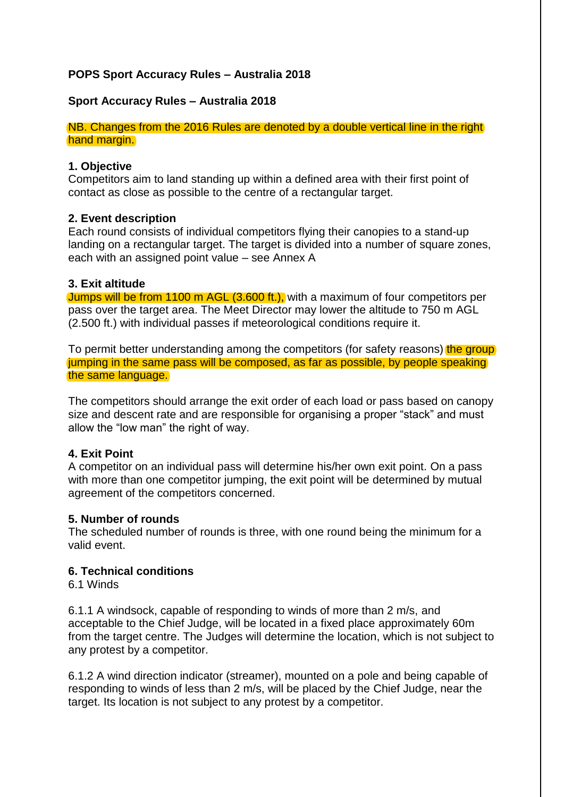# **POPS Sport Accuracy Rules – Australia 2018**

## **Sport Accuracy Rules – Australia 2018**

NB. Changes from the 2016 Rules are denoted by a double vertical line in the right hand margin.

#### **1. Objective**

Competitors aim to land standing up within a defined area with their first point of contact as close as possible to the centre of a rectangular target.

#### **2. Event description**

Each round consists of individual competitors flying their canopies to a stand-up landing on a rectangular target. The target is divided into a number of square zones, each with an assigned point value – see Annex A

#### **3. Exit altitude**

Jumps will be from 1100 m AGL (3.600 ft.), with a maximum of four competitors per pass over the target area. The Meet Director may lower the altitude to 750 m AGL (2.500 ft.) with individual passes if meteorological conditions require it.

To permit better understanding among the competitors (for safety reasons) the group jumping in the same pass will be composed, as far as possible, by people speaking the same language.

The competitors should arrange the exit order of each load or pass based on canopy size and descent rate and are responsible for organising a proper "stack" and must allow the "low man" the right of way.

#### **4. Exit Point**

A competitor on an individual pass will determine his/her own exit point. On a pass with more than one competitor jumping, the exit point will be determined by mutual agreement of the competitors concerned.

#### **5. Number of rounds**

The scheduled number of rounds is three, with one round being the minimum for a valid event.

#### **6. Technical conditions**

6.1 Winds

6.1.1 A windsock, capable of responding to winds of more than 2 m/s, and acceptable to the Chief Judge, will be located in a fixed place approximately 60m from the target centre. The Judges will determine the location, which is not subject to any protest by a competitor.

6.1.2 A wind direction indicator (streamer), mounted on a pole and being capable of responding to winds of less than 2 m/s, will be placed by the Chief Judge, near the target. Its location is not subject to any protest by a competitor.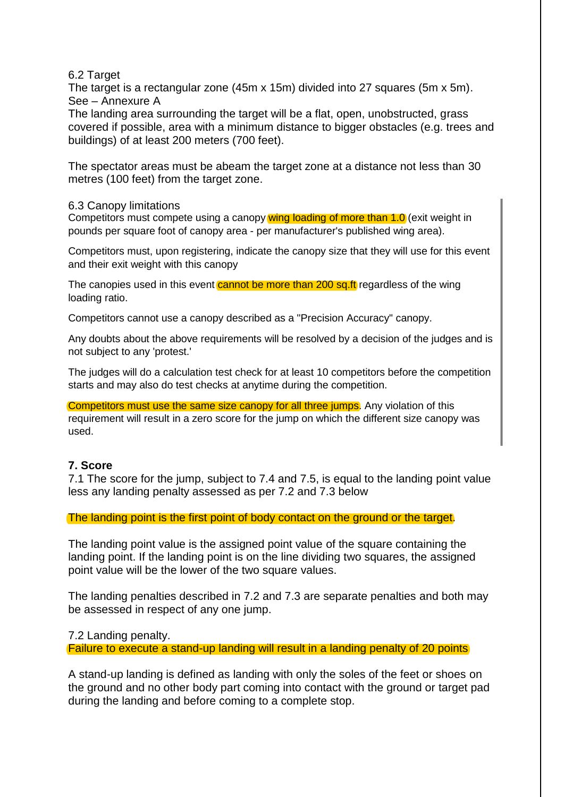#### 6.2 Target

The target is a rectangular zone (45m x 15m) divided into 27 squares (5m x 5m). See – Annexure A

The landing area surrounding the target will be a flat, open, unobstructed, grass covered if possible, area with a minimum distance to bigger obstacles (e.g. trees and buildings) of at least 200 meters (700 feet).

The spectator areas must be abeam the target zone at a distance not less than 30 metres (100 feet) from the target zone.

#### 6.3 Canopy limitations

Competitors must compete using a canopy wing loading of more than 1.0 (exit weight in pounds per square foot of canopy area - per manufacturer's published wing area).

Competitors must, upon registering, indicate the canopy size that they will use for this event and their exit weight with this canopy

The canopies used in this event cannot be more than 200 sq.ft regardless of the wing loading ratio.

Competitors cannot use a canopy described as a "Precision Accuracy" canopy.

Any doubts about the above requirements will be resolved by a decision of the judges and is not subject to any 'protest.'

The judges will do a calculation test check for at least 10 competitors before the competition starts and may also do test checks at anytime during the competition.

Competitors must use the same size canopy for all three jumps. Any violation of this requirement will result in a zero score for the jump on which the different size canopy was used.

## **7. Score**

7.1 The score for the jump, subject to 7.4 and 7.5, is equal to the landing point value less any landing penalty assessed as per 7.2 and 7.3 below

The landing point is the first point of body contact on the ground or the target.

The landing point value is the assigned point value of the square containing the landing point. If the landing point is on the line dividing two squares, the assigned point value will be the lower of the two square values.

The landing penalties described in 7.2 and 7.3 are separate penalties and both may be assessed in respect of any one jump.

7.2 Landing penalty.

Failure to execute a stand-up landing will result in a landing penalty of 20 points

A stand-up landing is defined as landing with only the soles of the feet or shoes on the ground and no other body part coming into contact with the ground or target pad during the landing and before coming to a complete stop.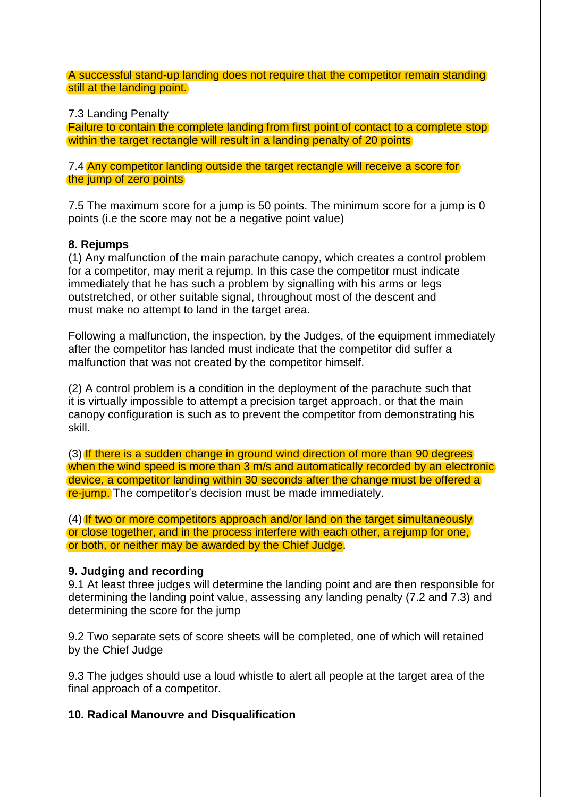A successful stand-up landing does not require that the competitor remain standing still at the landing point.

7.3 Landing Penalty

Failure to contain the complete landing from first point of contact to a complete stop within the target rectangle will result in a landing penalty of 20 points

7.4 Any competitor landing outside the target rectangle will receive a score for the jump of zero points

7.5 The maximum score for a jump is 50 points. The minimum score for a jump is 0 points (i.e the score may not be a negative point value)

# **8. Rejumps**

(1) Any malfunction of the main parachute canopy, which creates a control problem for a competitor, may merit a rejump. In this case the competitor must indicate immediately that he has such a problem by signalling with his arms or legs outstretched, or other suitable signal, throughout most of the descent and must make no attempt to land in the target area.

Following a malfunction, the inspection, by the Judges, of the equipment immediately after the competitor has landed must indicate that the competitor did suffer a malfunction that was not created by the competitor himself.

(2) A control problem is a condition in the deployment of the parachute such that it is virtually impossible to attempt a precision target approach, or that the main canopy configuration is such as to prevent the competitor from demonstrating his skill.

(3) If there is a sudden change in ground wind direction of more than 90 degrees when the wind speed is more than 3 m/s and automatically recorded by an electronic device, a competitor landing within 30 seconds after the change must be offered a re-jump. The competitor's decision must be made immediately.

(4) If two or more competitors approach and/or land on the target simultaneously or close together, and in the process interfere with each other, a rejump for one, or both, or neither may be awarded by the Chief Judge.

# **9. Judging and recording**

9.1 At least three judges will determine the landing point and are then responsible for determining the landing point value, assessing any landing penalty (7.2 and 7.3) and determining the score for the jump

9.2 Two separate sets of score sheets will be completed, one of which will retained by the Chief Judge

9.3 The judges should use a loud whistle to alert all people at the target area of the final approach of a competitor.

## **10. Radical Manouvre and Disqualification**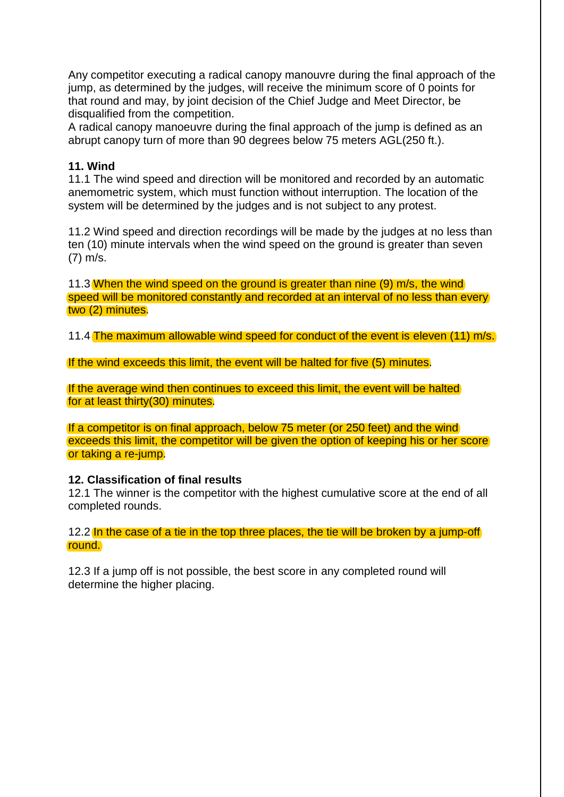Any competitor executing a radical canopy manouvre during the final approach of the jump, as determined by the judges, will receive the minimum score of 0 points for that round and may, by joint decision of the Chief Judge and Meet Director, be disqualified from the competition.

A radical canopy manoeuvre during the final approach of the jump is defined as an abrupt canopy turn of more than 90 degrees below 75 meters AGL(250 ft.).

# **11. Wind**

11.1 The wind speed and direction will be monitored and recorded by an automatic anemometric system, which must function without interruption. The location of the system will be determined by the judges and is not subject to any protest.

11.2 Wind speed and direction recordings will be made by the judges at no less than ten (10) minute intervals when the wind speed on the ground is greater than seven (7) m/s.

11.3 When the wind speed on the ground is greater than nine (9) m/s, the wind speed will be monitored constantly and recorded at an interval of no less than every two (2) minutes.

11.4 The maximum allowable wind speed for conduct of the event is eleven (11) m/s.

If the wind exceeds this limit, the event will be halted for five (5) minutes.

If the average wind then continues to exceed this limit, the event will be halted for at least thirty(30) minutes.

If a competitor is on final approach, below 75 meter (or 250 feet) and the wind exceeds this limit, the competitor will be given the option of keeping his or her score or taking a re-jump.

## **12. Classification of final results**

12.1 The winner is the competitor with the highest cumulative score at the end of all completed rounds.

12.2 In the case of a tie in the top three places, the tie will be broken by a jump-off round.

12.3 If a jump off is not possible, the best score in any completed round will determine the higher placing.